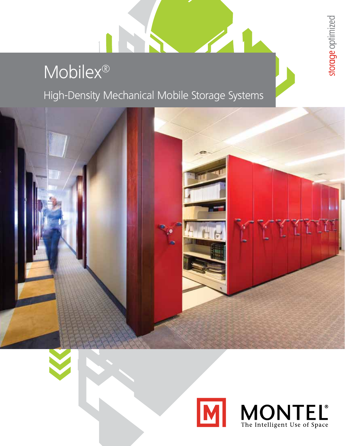# Mobilex®

High-Density Mechanical Mobile Storage Systems







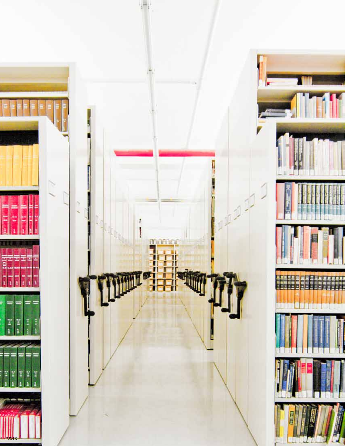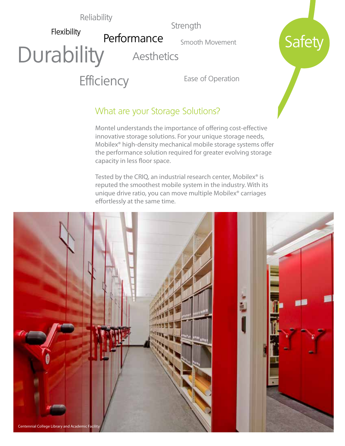#### Reliability

**Durability** 

Flexibility

**Strength** 

Smooth Movement

**Safety** 

**Aesthetics** 

Performance

**Efficiency** 

Ease of Operation

## What are your Storage Solutions?

Montel understands the importance of offering cost-effective innovative storage solutions. For your unique storage needs, Mobilex® high-density mechanical mobile storage systems offer the performance solution required for greater evolving storage capacity in less floor space.

Tested by the CRIQ, an industrial research center, Mobilex<sup>®</sup> is reputed the smoothest mobile system in the industry. With its unique drive ratio, you can move multiple Mobilex® carriages effortlessly at the same time.

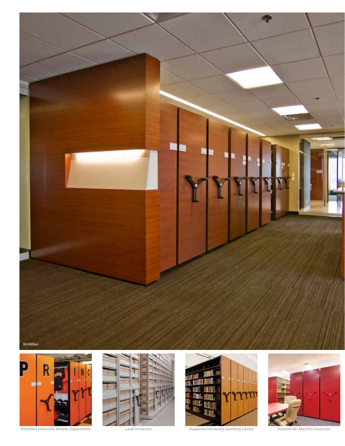



Princeton University Athletic Department Laval University Laval University Duquesne University Gumberg Library Autorité des Marchés Financiers





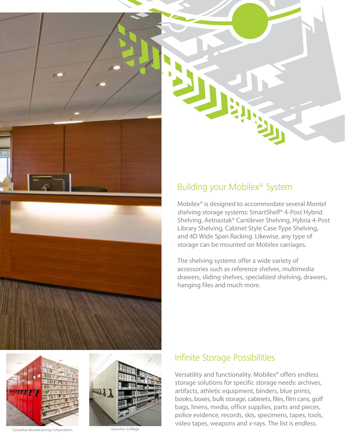





## Building your Mobilex® System

Mobilex® is designed to accommodate several Montel shelving storage systems: SmartShelf® 4-Post Hybrid Shelving, Aetnastak® Cantilever Shelving, Hybria 4-Post Library Shelving, Cabinet Style Case-Type Shelving, and 4D Wide Span Racking. Likewise, any type of storage can be mounted on Mobilex carriages.

The shelving systems offer a wide variety of accessories such as reference shelves, multimedia drawers, sliding shelves, specialized shelving, drawers, hanging files and much more.

## Infinite Storage Possibilities

Versatility and functionality. Mobilex® offers endless storage solutions for specific storage needs: archives, artifacts, athletic equipment, binders, blue prints, books, boxes, bulk storage, cabinets, files, film cans, golf bags, linens, media, office supplies, parts and pieces, police evidence, records, skis, specimens, tapes, tools, video tapes, weapons and x-rays. The list is endless.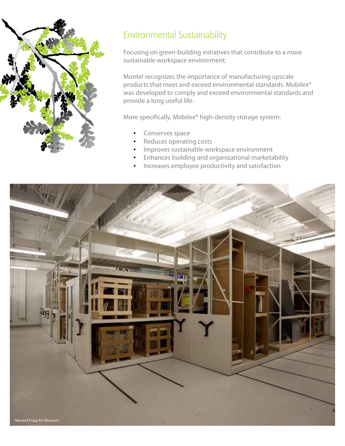

# Environmental Sustainability

Focusing on green-building initiatives that contribute to a more sustainable workspace environment.

Montel recognizes the importance of manufacturing upscale products that meet and exceed environmental standards. Mobilex® was developed to comply and exceed environmental standards and provide a long useful life.

More specifically, Mobilex® high-density storage system:

- Conserves space
- Reduces operating costs
- Improves sustainable workspace environment
- • Enhances building and organizational marketability
- • Increases employee productivity and satisfaction

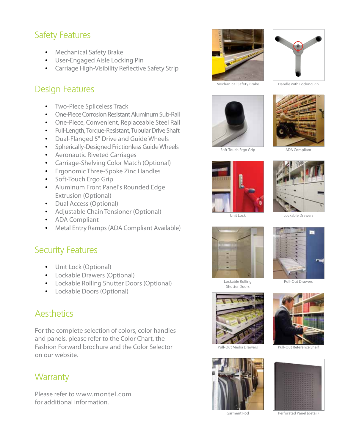# Safety Features

- • Mechanical Safety Brake
- • User-Engaged Aisle Locking Pin
- • Carriage High-Visibility Reflective Safety Strip

## Design Features

- **Two-Piece Spliceless Track**
- **One-Piece Corrosion Resistant Aluminum Sub-Rail**
- • One-Piece, Convenient, Replaceable Steel Rail
- • Full-Length, Torque-Resistant, Tubular Drive Shaft
- • Dual-Flanged 5" Drive and Guide Wheels
- • Spherically-Designed Frictionless Guide Wheels
- • Aeronautic Riveted Carriages
- • Carriage-Shelving Color Match (Optional)
- • Ergonomic Three-Spoke Zinc Handles
- Soft-Touch Ergo Grip
- • Aluminum Front Panel's Rounded Edge Extrusion (Optional)
- Dual Access (Optional)
- • Adjustable Chain Tensioner (Optional)
- • ADA Compliant
- • Metal Entry Ramps (ADA Compliant Available)

#### Security Features

- Unit Lock (Optional)
- • Lockable Drawers (Optional)
- • Lockable Rolling Shutter Doors (Optional)
- • Lockable Doors (Optional)

#### **Aesthetics**

For the complete selection of colors, color handles and panels, please refer to the Color Chart, the Fashion Forward brochure and the Color Selector on our website.

#### **Warranty**

Please refer to www.montel.com for additional information.



Mechanical Safety Brake Handle with Locking Pin



Soft-Touch Ergo Grip





ADA Compliant

Lockable Drawers



Shutter Doors





Pull-Out Media Drawers



Garment Rod





Perforated Panel (detail)